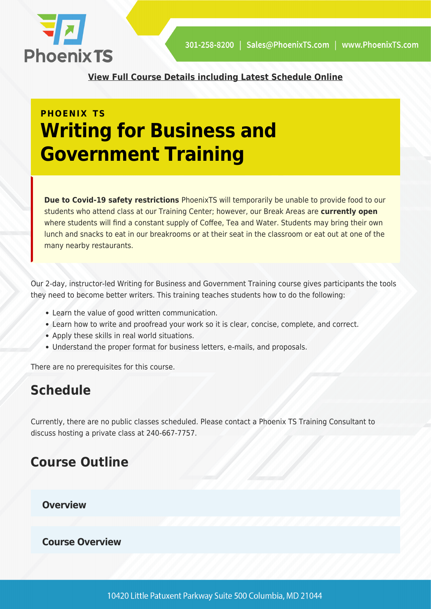

**[View Full Course Details including Latest Schedule Online](https://phoenixts.com/training-courses/writing-for-business-and-government-training/)**

## **PHOENIX TS Writing for Business and Government Training**

**Due to Covid-19 safety restrictions** PhoenixTS will temporarily be unable to provide food to our students who attend class at our Training Center; however, our Break Areas are **currently open** where students will find a constant supply of Coffee, Tea and Water. Students may bring their own lunch and snacks to eat in our breakrooms or at their seat in the classroom or eat out at one of the many nearby restaurants.

Our 2-day, instructor-led Writing for Business and Government Training course gives participants the tools they need to become better writers. This training teaches students how to do the following:

- Learn the value of good written communication.
- Learn how to write and proofread your work so it is clear, concise, complete, and correct.
- Apply these skills in real world situations.
- Understand the proper format for business letters, e-mails, and proposals.

There are no prerequisites for this course.

### **Schedule**

Currently, there are no public classes scheduled. Please contact a Phoenix TS Training Consultant to discuss hosting a private class at 240-667-7757.

#### **Course Outline**

**Overview**

**Course Overview**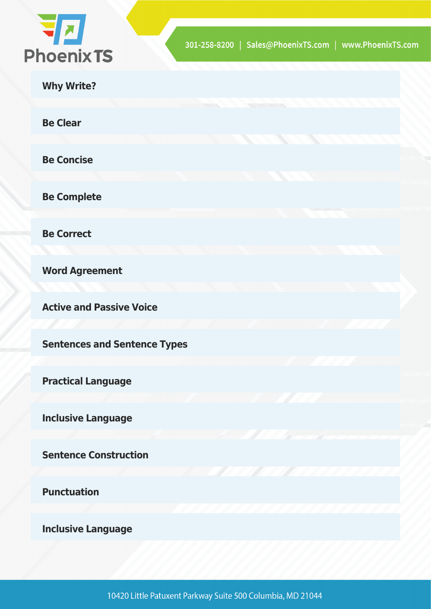

|  | <b>Why Write?</b> |
|--|-------------------|
|  |                   |

**Be Clear**

**Be Concise**

**Be Complete**

**Be Correct**

**Word Agreement**

**Active and Passive Voice**

**Sentences and Sentence Types**

**Practical Language**

**Inclusive Language**

**Sentence Construction**

**Punctuation**

**Inclusive Language**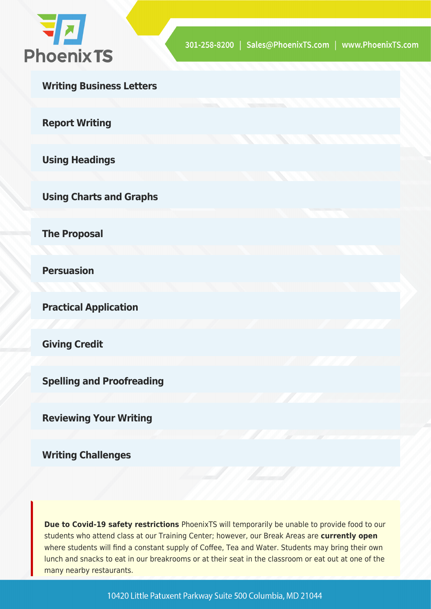

**Writing Business Letters**

**Report Writing**

**Using Headings**

**Using Charts and Graphs**

**The Proposal**

**Persuasion**

**Practical Application**

**Giving Credit**

**Spelling and Proofreading**

**Reviewing Your Writing**

**Writing Challenges**

**Due to Covid-19 safety restrictions** PhoenixTS will temporarily be unable to provide food to our students who attend class at our Training Center; however, our Break Areas are **currently open** where students will find a constant supply of Coffee, Tea and Water. Students may bring their own lunch and snacks to eat in our breakrooms or at their seat in the classroom or eat out at one of the many nearby restaurants.

10420 Little Patuxent Parkway Suite 500 Columbia, MD 21044